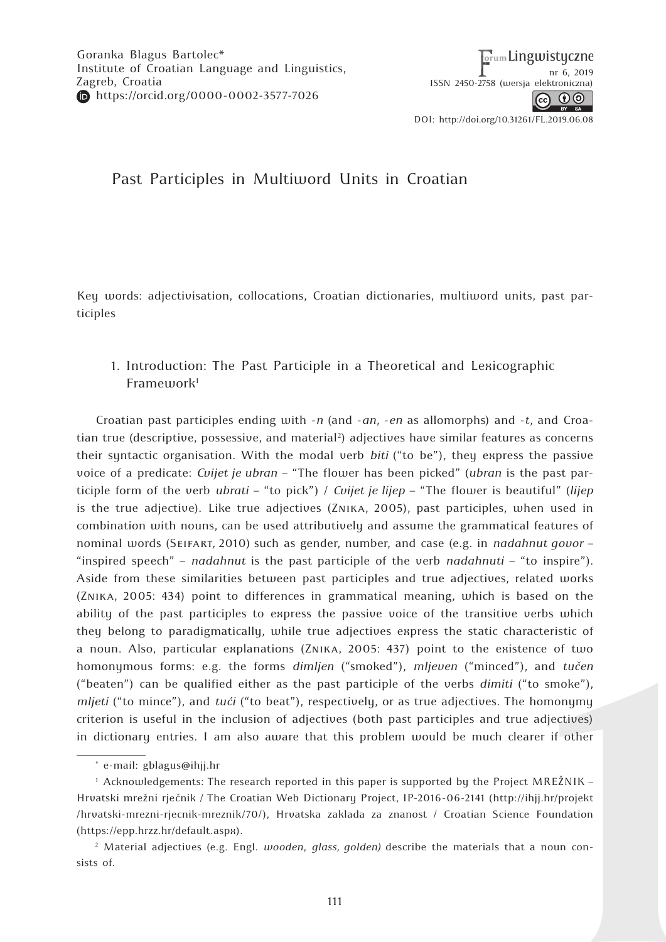# Past Participles in Multiword Units in Croatian

Key words: adjectivisation, collocations, Croatian dictionaries, multiword units, past participles

## 1. Introduction: The Past Participle in a Theoretical and Lexicographic Framework<sup>1</sup>

Croatian past participles ending with -*n* (and -*an*, -*en* as allomorphs) and -*t*, and Croatian true (descriptive, possessive, and material<sup>2</sup>) adjectives have similar features as concerns their syntactic organisation. With the modal verb *biti* ("to be"), they express the passive voice of a predicate: *Cvijet je ubran* – "The flower has been picked" (*ubran* is the past participle form of the verb *ubrati* – "to pick") / *Cvijet je lijep* – "The flower is beautiful" (*lijep*  is the true adjective). Like true adjectives (Znika, 2005), past participles, when used in combination with nouns, can be used attributively and assume the grammatical features of nominal words (Seifart*,* 2010) such as gender, number, and case (e.g. in *nadahnut govor* – "inspired speech" – *nadahnut* is the past participle of the verb *nadahnuti* – "to inspire"). Aside from these similarities between past participles and true adjectives, related works (Znika, 2005: 434) point to differences in grammatical meaning, which is based on the ability of the past participles to express the passive voice of the transitive verbs which they belong to paradigmatically, while true adjectives express the static characteristic of a noun. Also, particular explanations (Znika, 2005: 437) point to the existence of two homonymous forms: e.g. the forms *dimljen* ("smoked"), *mljeven* ("minced"), and *tučen* ("beaten") can be qualified either as the past participle of the verbs *dimiti* ("to smoke"), *mljeti* ("to mince"), and *tući* ("to beat"), respectively, or as true adjectives. The homonymy criterion is useful in the inclusion of adjectives (both past participles and true adjectives) in dictionary entries. I am also aware that this problem would be much clearer if other

<sup>\*</sup> e-mail: gblagus@ihjj.hr

<sup>1</sup> Acknowledgements: The research reported in this paper is supported by the Project MREŽNIK – Hrvatski mrežni rječnik / The Croatian Web Dictionary Project, IP-2016-06-2141 (http://ihjj.hr/projekt /hrvatski-mrezni-rjecnik-mreznik/70/), Hrvatska zaklada za znanost / Croatian Science Foundation (https://epp.hrzz.hr/default.aspx).

<sup>2</sup> Material adjectives (e.g. Engl. *wooden*, *glass, golden)* describe the materials that a noun consists of.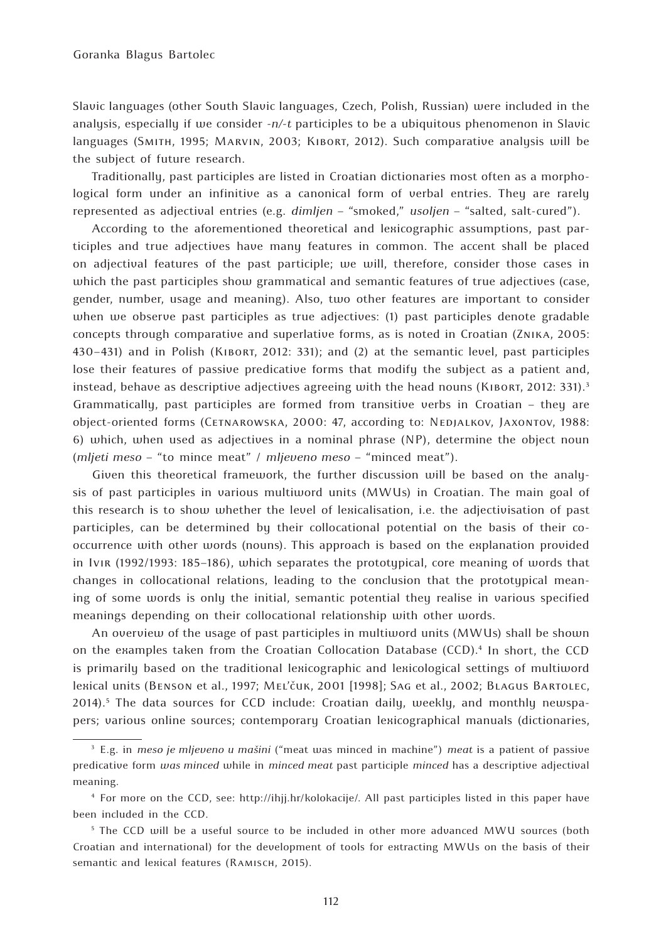Slavic languages (other South Slavic languages, Czech, Polish, Russian) were included in the analysis, especially if we consider *-n/-t* participles to be a ubiquitous phenomenon in Slavic languages (Smith, 1995; Marvin, 2003; Kibort, 2012). Such comparative analysis will be the subject of future research.

Traditionally, past participles are listed in Croatian dictionaries most often as a morphological form under an infinitive as a canonical form of verbal entries. They are rarely represented as adjectival entries (e.g. *dimljen* – "smoked," *usoljen* – "salted, salt-cured").

According to the aforementioned theoretical and lexicographic assumptions, past participles and true adjectives have many features in common. The accent shall be placed on adjectival features of the past participle; we will, therefore, consider those cases in which the past participles show grammatical and semantic features of true adjectives (case, gender, number, usage and meaning). Also, two other features are important to consider when we observe past participles as true adjectives: (1) past participles denote gradable concepts through comparative and superlative forms, as is noted in Croatian (Znika, 2005: 430–431) and in Polish (Kibort, 2012: 331); and (2) at the semantic level, past participles lose their features of passive predicative forms that modify the subject as a patient and, instead, behave as descriptive adjectives agreeing with the head nouns (KIBORT, 2012: 331).<sup>3</sup> Grammatically, past participles are formed from transitive verbs in Croatian – they are object-oriented forms (Cetnarowska, 2000: 47, according to: Nedjalkov, Jaxontov, 1988: 6) which, when used as adjectives in a nominal phrase (NP), determine the object noun (*mljeti meso* – "to mince meat" / *mljeveno meso* – "minced meat").

Given this theoretical framework, the further discussion will be based on the analysis of past participles in various multiword units (MWUs) in Croatian. The main goal of this research is to show whether the level of lexicalisation, i.e. the adjectivisation of past participles, can be determined by their collocational potential on the basis of their cooccurrence with other words (nouns). This approach is based on the explanation provided in Ivir (1992/1993: 185–186), which separates the prototypical, core meaning of words that changes in collocational relations, leading to the conclusion that the prototypical meaning of some words is only the initial, semantic potential they realise in various specified meanings depending on their collocational relationship with other words.

An overview of the usage of past participles in multiword units (MWUs) shall be shown on the examples taken from the Croatian Collocation Database (CCD).4 In short, the CCD is primarily based on the traditional lexicographic and lexicological settings of multiword lexical units (Benson et al., 1997; Mel'čuk, 2001 [1998]; Sag et al., 2002; Blagus Bartolec, 2014).<sup>5</sup> The data sources for CCD include: Croatian daily, weekly, and monthly newspapers; various online sources; contemporary Croatian lexicographical manuals (dictionaries,

<sup>3</sup> E.g. in *meso je mljeveno u mašini* ("meat was minced in machine") *meat* is a patient of passive predicative form *was minced* while in *minced meat* past participle *minced* has a descriptive adjectival meaning.

<sup>4</sup> For more on the CCD, see: http://ihjj.hr/kolokacije/. All past participles listed in this paper have been included in the CCD.

<sup>&</sup>lt;sup>5</sup> The CCD will be a useful source to be included in other more advanced MWU sources (both Croatian and international) for the development of tools for extracting MWUs on the basis of their semantic and lexical features (RAMISCH, 2015).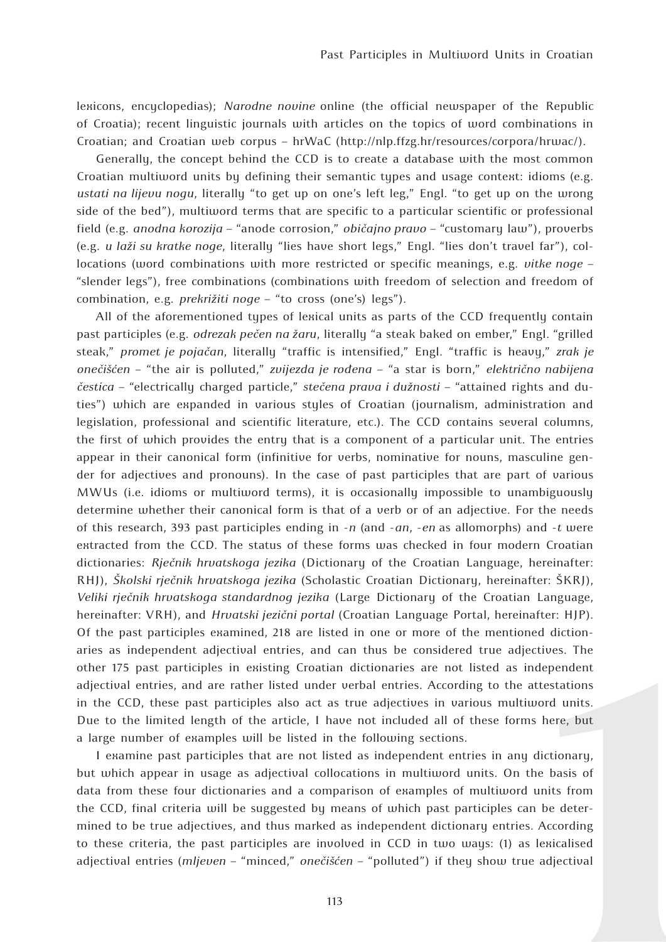lexicons, encyclopedias); *Narodne novine* online (the official newspaper of the Republic of Croatia); recent linguistic journals with articles on the topics of word combinations in Croatian; and Croatian web corpus – hrWaC (http://nlp.ffzg.hr/resources/corpora/hrwac/).

Generally, the concept behind the CCD is to create a database with the most common Croatian multiword units by defining their semantic types and usage context: idioms (e.g. *ustati na lijevu nogu*, literally "to get up on one's left leg," Engl. "to get up on the wrong side of the bed"), multiword terms that are specific to a particular scientific or professional field (e.g. *anodna korozija* – "anode corrosion," *običajno pravo* – "customary law"), proverbs (e.g. *u laži su kratke noge*, literally "lies have short legs," Engl. "lies don't travel far"), collocations (word combinations with more restricted or specific meanings, e.g. *vitke noge* – "slender legs"), free combinations (combinations with freedom of selection and freedom of combination, e.g. *prekrižiti noge* – "to cross (one's) legs").

All of the aforementioned types of lexical units as parts of the CCD frequently contain past participles (e.g. *odrezak pečen na žaru*, literally "a steak baked on ember," Engl. "grilled steak," *promet je pojačan*, literally "traffic is intensified," Engl. "traffic is heavy," *zrak je onečišćen* – "the air is polluted," *zvijezda je rođena* – "a star is born," *električno nabijena čestica* – "electrically charged particle," *stečena prava i dužnosti* – "attained rights and duties") which are expanded in various styles of Croatian (journalism, administration and legislation, professional and scientific literature, etc.). The CCD contains several columns, the first of which provides the entry that is a component of a particular unit. The entries appear in their canonical form (infinitive for verbs, nominative for nouns, masculine gender for adjectives and pronouns). In the case of past participles that are part of various MWUs (i.e. idioms or multiword terms), it is occasionally impossible to unambiguously determine whether their canonical form is that of a verb or of an adjective. For the needs of this research, 393 past participles ending in -*n* (and -*an*, -*en* as allomorphs) and -*t* were extracted from the CCD. The status of these forms was checked in four modern Croatian dictionaries: *Rječnik hrvatskoga jezika* (Dictionary of the Croatian Language, hereinafter: RHJ), *Školski rječnik hrvatskoga jezika* (Scholastic Croatian Dictionary, hereinafter: ŠKRJ), *Veliki rječnik hrvatskoga standardnog jezika* (Large Dictionary of the Croatian Language, hereinafter: VRH), and *Hrvatski jezični portal* (Croatian Language Portal, hereinafter: HJP). Of the past participles examined, 218 are listed in one or more of the mentioned dictionaries as independent adjectival entries, and can thus be considered true adjectives. The other 175 past participles in existing Croatian dictionaries are not listed as independent adjectival entries, and are rather listed under verbal entries. According to the attestations in the CCD, these past participles also act as true adjectives in various multiword units. Due to the limited length of the article, I have not included all of these forms here, but a large number of examples will be listed in the following sections.

I examine past participles that are not listed as independent entries in any dictionary, but which appear in usage as adjectival collocations in multiword units. On the basis of data from these four dictionaries and a comparison of examples of multiword units from the CCD, final criteria will be suggested by means of which past participles can be determined to be true adjectives, and thus marked as independent dictionary entries. According to these criteria, the past participles are involved in CCD in two ways: (1) as lexicalised adjectival entries (*mljeven* – "minced," *onečišćen* – "polluted") if they show true adjectival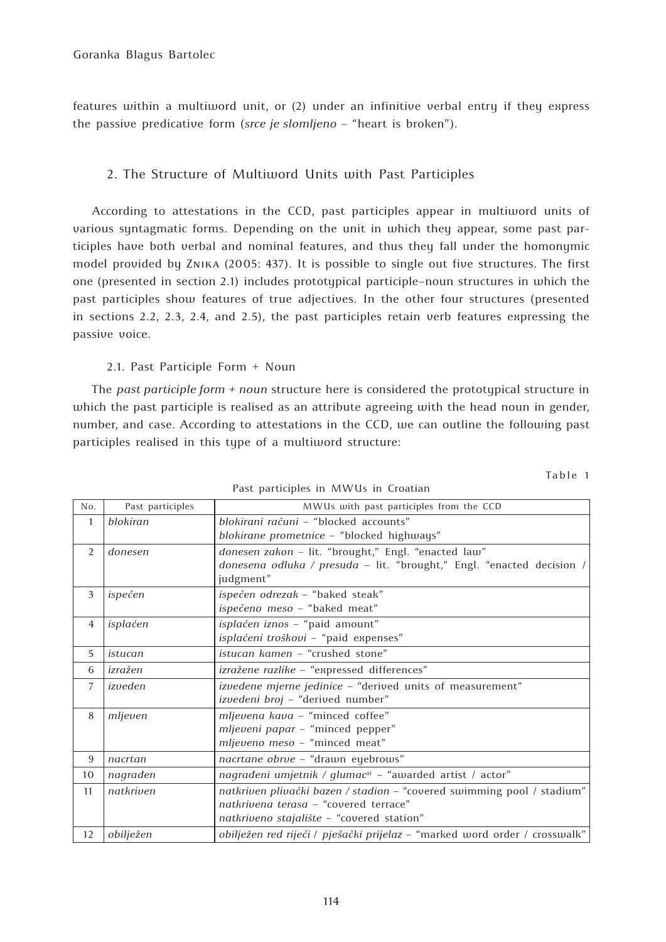features within a multiword unit, or (2) under an infinitive verbal entry if they express the passive predicative form (*srce je slomljeno* – "heart is broken").

## 2. The Structure of Multiword Units with Past Participles

According to attestations in the CCD, past participles appear in multiword units of various syntagmatic forms. Depending on the unit in which they appear, some past participles have both verbal and nominal features, and thus they fall under the homonymic model provided by Znika (2005: 437). It is possible to single out five structures. The first one (presented in section 2.1) includes prototypical participle–noun structures in which the past participles show features of true adjectives. In the other four structures (presented in sections 2.2, 2.3, 2.4, and 2.5), the past participles retain verb features expressing the passive voice.

## 2.1. Past Participle Form + Noun

The *past participle form + noun* structure here is considered the prototypical structure in which the past participle is realised as an attribute agreeing with the head noun in gender, number, and case. According to attestations in the CCD, we can outline the following past participles realised in this type of a multiword structure:

| No.            | Past participles | MWUs with past participles from the CCD                                    |
|----------------|------------------|----------------------------------------------------------------------------|
| $\mathbf{1}$   | blokiran         | blokirani računi - "blocked accounts"                                      |
|                |                  | blokirane prometnice - "blocked highways"                                  |
| 2              | donesen          | donesen zakon - lit. "brought," Engl. "enacted law"                        |
|                |                  | donesena odluka / presuda - lit. "brought," Engl. "enacted decision /      |
|                |                  | judgment"                                                                  |
| 3              | ispečen          | ispečen odrezak - "baked steak"                                            |
|                |                  | ispečeno meso - "baked meat"                                               |
| $\overline{4}$ | isplaćen         | isplaćen iznos - "paid amount"                                             |
|                |                  | isplaćeni troškovi - "paid expenses"                                       |
| 5              | istucan          | istucan kamen - "crushed stone"                                            |
| 6              | izražen          | izražene razlike - "expressed differences"                                 |
| $\overline{7}$ | izveden          | izvedene mjerne jedinice - "derived units of measurement"                  |
|                |                  | izvedeni broj - "derived number"                                           |
| 8              | mljeven          | mljevena kava - "minced coffee"                                            |
|                |                  | mljeveni papar - "minced pepper"                                           |
|                |                  | mljeveno meso - "minced meat"                                              |
| 9              | nacrtan          | nacrtane obrve - "drawn eyebrows"                                          |
| 10             | nagrađen         | nagrađeni umjetnik / gluma $c^{a}$ – "awarded artist / actor"              |
| 11             | natkriven        | natkriven plivački bazen / stadion - "covered swimming pool / stadium"     |
|                |                  | natkrivena terasa - "covered terrace"                                      |
|                |                  | natkriveno stajalište - "covered station"                                  |
| 12             | obilježen        | obilježen red riječi / pješački prijelaz - "marked word order / crosswalk" |

Past participles in MWUs in Croatian

Table 1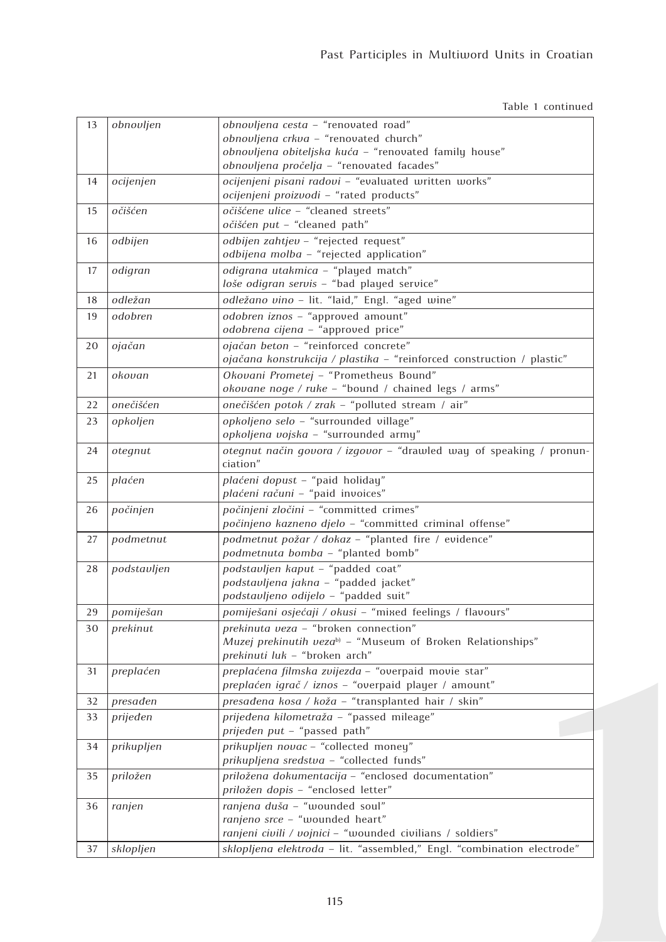Table 1 continued

| 13 | obnovljen   | obnovljena cesta - "renovated road"                                    |
|----|-------------|------------------------------------------------------------------------|
|    |             | obnovljena crkva - "renovated church"                                  |
|    |             | obnovljena obiteljska kuća - "renovated family house"                  |
|    |             | obnovljena pročelja - "renovated facades"                              |
| 14 | ocijenjen   | ocijenjeni pisani radovi - "evaluated written works"                   |
|    |             | ocijenjeni proizvodi - "rated products"                                |
| 15 | očišćen     | očišćene ulice - "cleaned streets"                                     |
|    |             | očišćen put - "cleaned path"                                           |
| 16 | odbijen     | odbijen zahtjev - "rejected request"                                   |
|    |             | odbijena molba - "rejected application"                                |
| 17 | odigran     | odigrana utakmica - "played match"                                     |
|    |             | loše odigran servis - "bad played service"                             |
|    | odležan     | odležano vino - lit. "laid," Engl. "aged wine"                         |
| 18 |             |                                                                        |
| 19 | odobren     | odobren iznos - "approved amount"                                      |
|    |             | odobrena cijena - "approved price"                                     |
| 20 | ojačan      | ojačan beton - "reinforced concrete"                                   |
|    |             | ojačana konstrukcija / plastika - "reinforced construction / plastic"  |
| 21 | okovan      | Okovani Prometej - "Prometheus Bound"                                  |
|    |             | okovane noge / ruke - "bound / chained legs / arms"                    |
| 22 | onečišćen   | onečišćen potok / zrak - "polluted stream / air"                       |
| 23 | opkoljen    | opkoljeno selo - "surrounded village"                                  |
|    |             | opkoljena vojska - "surrounded army"                                   |
| 24 | otegnut     | otegnut način govora / izgovor - "drawled way of speaking / pronun-    |
|    |             | ciation"                                                               |
| 25 | plaćen      | plaćeni dopust - "paid holiday"                                        |
|    |             | plaćeni računi - "paid invoices"                                       |
| 26 | počinjen    | počinjeni zločini - "committed crimes"                                 |
|    |             | počinjeno kazneno djelo - "committed criminal offense"                 |
| 27 | podmetnut   | podmetnut požar / dokaz - "planted fire / evidence"                    |
|    |             | podmetnuta bomba - "planted bomb"                                      |
| 28 | podstavljen | podstavljen kaput - "padded coat"                                      |
|    |             | podstavljena jakna - "padded jacket"                                   |
|    |             | podstavljeno odijelo - "padded suit"                                   |
| 29 | pomiješan   | pomiješani osjećaji / okusi - "mixed feelings / flavours"              |
|    |             | prekinuta veza - "broken connection"                                   |
| 30 | prekinut    | Muzej prekinutih veza <sup>b)</sup> - "Museum of Broken Relationships" |
|    |             | prekinuti luk - "broken arch"                                          |
|    |             | preplaćena filmska zvijezda - "overpaid movie star"                    |
| 31 | preplaćen   |                                                                        |
|    |             | preplaćen igrač / iznos - "overpaid player / amount"                   |
| 32 | presaden    | presađena kosa / koža - "transplanted hair / skin"                     |
| 33 | prijeđen    | prijeđena kilometraža - "passed mileage"                               |
|    |             | prijeđen put - "passed path"                                           |
| 34 | prikupljen  | prikupljen novac - "collected money"                                   |
|    |             | prikupljena sredstva - "collected funds"                               |
| 35 | priložen    | priložena dokumentacija - "enclosed documentation"                     |
|    |             | priložen dopis - "enclosed letter"                                     |
| 36 | ranjen      | ranjena duša - "wounded soul"                                          |
|    |             | ranjeno srce - "wounded heart"                                         |
|    |             | ranjeni civili / vojnici - "wounded civilians / soldiers"              |
| 37 | sklopljen   | sklopljena elektroda - lit. "assembled," Engl. "combination electrode" |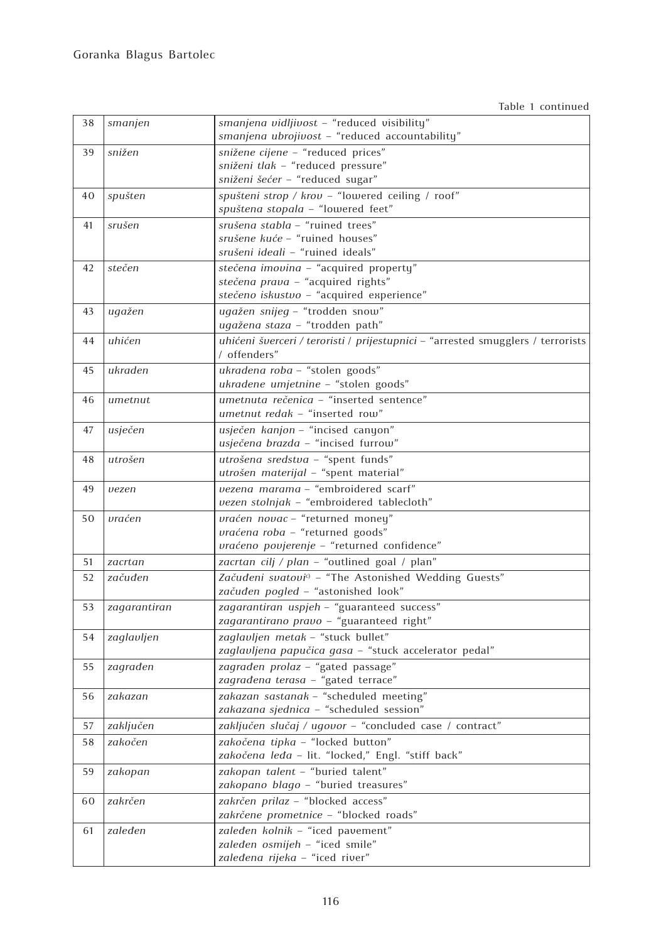Table 1 continued

| 38 | smanjen          | smanjena vidljivost - "reduced visibility"<br>smanjena ubrojivost - "reduced accountability"           |
|----|------------------|--------------------------------------------------------------------------------------------------------|
| 39 | snižen           | snižene cijene - "reduced prices"                                                                      |
|    |                  | sniženi tlak - "reduced pressure"                                                                      |
|    |                  | sniženi šećer - "reduced sugar"                                                                        |
| 40 | spušten          | spušteni strop / krov - "lowered ceiling / roof"                                                       |
|    |                  | spuštena stopala - "lowered feet"                                                                      |
|    |                  |                                                                                                        |
| 41 | srušen           | srušena stabla - "ruined trees"                                                                        |
|    |                  | srušene kuće - "ruined houses"                                                                         |
|    |                  | srušeni ideali - "ruined ideals"                                                                       |
| 42 | $ste\check{c}en$ | stečena imovina - "acquired property"                                                                  |
|    |                  | stečena prava - "acquired rights"                                                                      |
|    |                  | stečeno iskustvo - "acquired experience"                                                               |
| 43 | ugažen           | ugažen snijeg - "trodden snow"                                                                         |
|    |                  | ugažena staza - "trodden path"                                                                         |
| 44 | uhićen           | uhićeni šverceri / teroristi / prijestupnici - "arrested smugglers / terrorists<br>/ offenders"        |
| 45 | ukraden          | ukradena roba - "stolen goods"                                                                         |
|    |                  | ukradene umjetnine - "stolen goods"                                                                    |
| 46 | umetnut          | umetnuta rečenica - "inserted sentence"                                                                |
|    |                  | umetnut redak - "inserted row"                                                                         |
| 47 | usječen          | usječen kanjon - "incised canyon"                                                                      |
|    |                  | usječena brazda - "incised furrow"                                                                     |
| 48 | utrošen          | utrošena sredstva - "spent funds"                                                                      |
|    |                  | utrošen materijal - "spent material"                                                                   |
| 49 | vezen            | vezena marama - "embroidered scarf"                                                                    |
|    |                  | vezen stolnjak - "embroidered tablecloth"                                                              |
| 50 | vraćen           | vraćen novac - "returned money"                                                                        |
|    |                  | vraćena roba - "returned goods"                                                                        |
|    |                  | vraćeno povjerenje - "returned confidence"                                                             |
| 51 | zacrtan          | zacrtan cilj / plan - "outlined goal / plan"                                                           |
|    |                  |                                                                                                        |
| 52 | začuđen          | Začuđeni svatovi <sup>c)</sup> - "The Astonished Wedding Guests"<br>začuđen pogled - "astonished look" |
|    |                  |                                                                                                        |
| 53 | zagarantiran     | zagarantiran uspjeh - "guaranteed success"                                                             |
|    |                  | zagarantirano pravo - "guaranteed right"                                                               |
| 54 | zaglavljen       | zaglavljen metak - "stuck bullet"                                                                      |
|    |                  | zaglavljena papučica gasa - "stuck accelerator pedal"                                                  |
| 55 | zagrađen         | zagrađen prolaz - "gated passage"                                                                      |
|    |                  | zagrađena terasa - "gated terrace"                                                                     |
| 56 | zakazan          | zakazan sastanak - "scheduled meeting"                                                                 |
|    |                  | zakazana sjednica - "scheduled session"                                                                |
| 57 | zaključen        | zaključen slučaj / ugovor - "concluded case / contract"                                                |
| 58 | zakočen          | zakočena tipka - "locked button"                                                                       |
|    |                  | zakočena leđa - lit. "locked," Engl. "stiff back"                                                      |
| 59 | zakopan          | zakopan talent - "buried talent"                                                                       |
|    |                  | zakopano blago - "buried treasures"                                                                    |
| 60 | zakrčen          | zakrčen prilaz - "blocked access"                                                                      |
|    |                  | zakrčene prometnice - "blocked roads"                                                                  |
| 61 | zaleđen          | zaleđen kolnik - "iced pavement"                                                                       |
|    |                  | zaleđen osmijeh - "iced smile"                                                                         |
|    |                  | zaleđena rijeka - "iced river"                                                                         |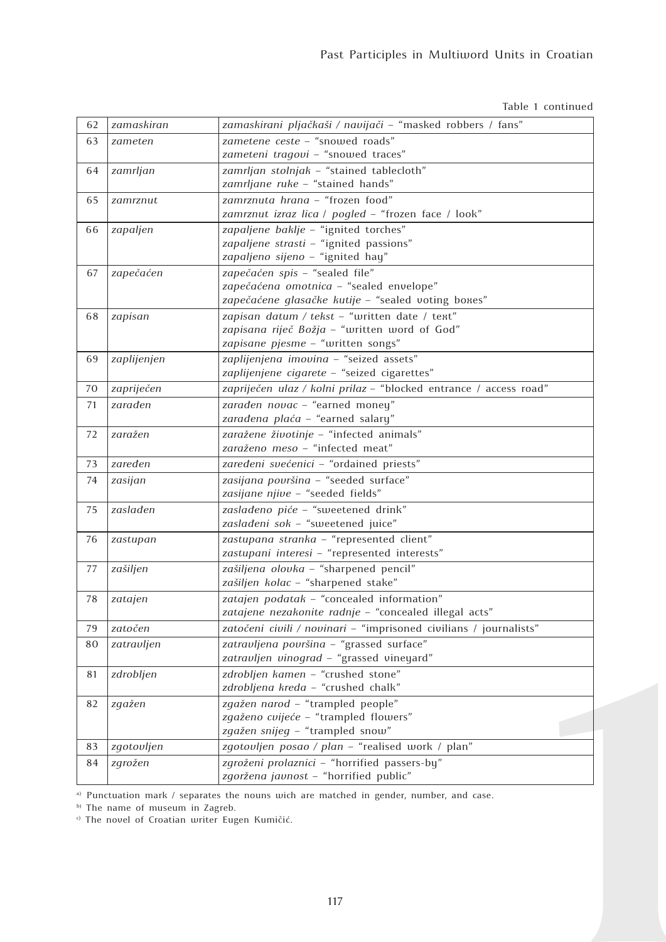Table 1 continued

| 62 | zamaskiran  | zamaskirani pljačkaši / navijači - "masked robbers / fans"                |
|----|-------------|---------------------------------------------------------------------------|
| 63 | zameten     | zametene ceste - "snowed roads"                                           |
|    |             | zameteni tragovi - "snowed traces"                                        |
| 64 | zamrljan    | zamrljan stolnjak - "stained tablecloth"                                  |
|    |             | zamrljane ruke - "stained hands"                                          |
| 65 | zamrznut    | zamrznuta hrana - "frozen food"                                           |
|    |             | zamrznut izraz lica / pogled - "frozen face / look"                       |
| 66 | zapaljen    | zapaljene baklje - "ignited torches"                                      |
|    |             | zapaljene strasti - "ignited passions"                                    |
|    |             | zapaljeno sijeno - "ignited hay"                                          |
| 67 | zapečaćen   | zapečaćen spis - "sealed file"<br>zapečaćena omotnica - "sealed envelope" |
|    |             | zapečaćene glasačke kutije - "sealed voting boxes"                        |
| 68 | zapisan     | zapisan datum / tekst - "written date / text"                             |
|    |             | zapisana riječ Božja - "written word of God"                              |
|    |             | zapisane pjesme - "written songs"                                         |
| 69 | zaplijenjen | zaplijenjena imovina - "seized assets"                                    |
|    |             | zaplijenjene cigarete - "seized cigarettes"                               |
| 70 | zapriječen  | zapriječen ulaz / kolni prilaz - "blocked entrance / access road"         |
| 71 | zarađen     | zarađen novac - "earned money"                                            |
|    |             | zarađena plaća - "earned salary"                                          |
| 72 | zaražen     | zaražene životinje - "infected animals"                                   |
|    |             | zaraženo meso - "infected meat"                                           |
| 73 | zaređen     | zaređeni svećenici - "ordained priests"                                   |
| 74 | zasijan     | zasijana površina - "seeded surface"                                      |
|    |             | zasijane njive - "seeded fields"                                          |
| 75 | zaslađen    | zaslađeno piće - "sweetened drink"                                        |
|    |             | zaslađeni sok - "sweetened juice"                                         |
| 76 | zastupan    | zastupana stranka - "represented client"                                  |
|    |             | zastupani interesi - "represented interests"                              |
| 77 | zašiljen    | zašiljena olovka - "sharpened pencil"                                     |
|    |             | zašiljen kolac - "sharpened stake"                                        |
| 78 | zatajen     | zatajen podatak - "concealed information"                                 |
|    |             | zatajene nezakonite radnje - "concealed illegal acts"                     |
| 79 | zatočen     | zatočeni civili / novinari - "imprisoned civilians / journalists"         |
| 80 | zatravljen  | zatravljena površina - "grassed surface"                                  |
|    |             | zatravljen vinograd - "grassed vineyard"                                  |
| 81 | zdrobljen   | zdrobljen kamen - "crushed stone"<br>zdrobljena kreda - "crushed chalk"   |
|    |             |                                                                           |
| 82 | zgažen      | zgažen narod - "trampled people"<br>zgaženo cvijeće - "trampled flowers"  |
|    |             | zgažen snijeg - "trampled snow"                                           |
| 83 | zgotovljen  | zgotovljen posao / plan - "realised work / plan"                          |
| 84 | zgrožen     | zgroženi prolaznici - "horrified passers-by"                              |
|    |             | zgoržena javnost - "horrified public"                                     |

a) Punctuation mark / separates the nouns wich are matched in gender, number, and case.

b) The name of museum in Zagreb.

c) The novel of Croatian writer Eugen Kumičić.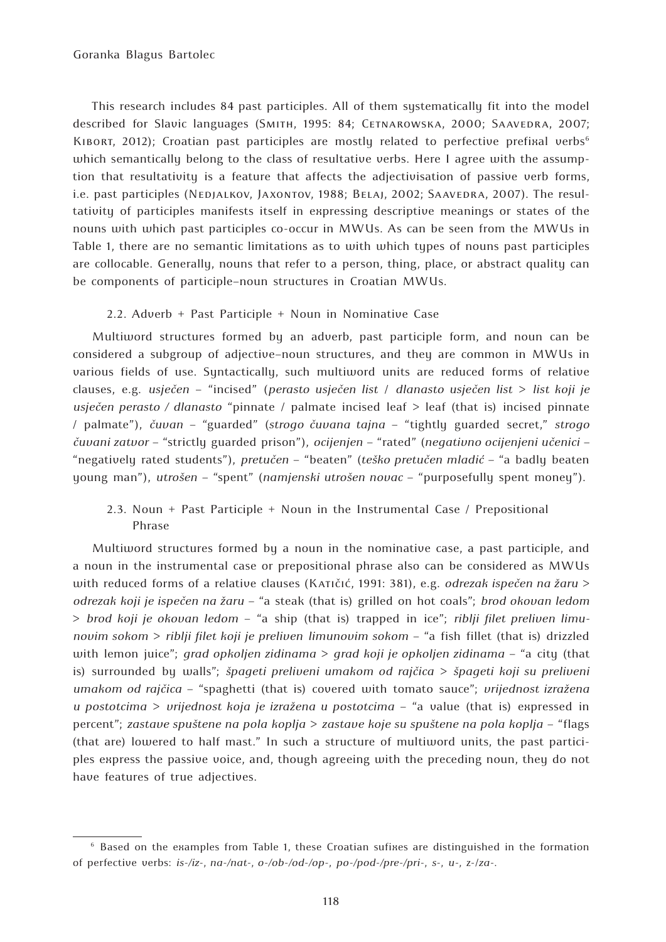This research includes 84 past participles. All of them systematically fit into the model described for Slavic languages (SMITH, 1995: 84; CETNAROWSKA, 2000; SAAVEDRA, 2007; KIBORT, 2012); Croatian past participles are mostly related to perfective prefixal verbs<sup>6</sup> which semantically belong to the class of resultative verbs. Here I agree with the assumption that resultativity is a feature that affects the adjectivisation of passive verb forms, i.e. past participles (NEDJALKOV, JAXONTOV, 1988; BELAJ, 2002; SAAVEDRA, 2007). The resultativity of participles manifests itself in expressing descriptive meanings or states of the nouns with which past participles co-occur in MWUs. As can be seen from the MWUs in Table 1, there are no semantic limitations as to with which types of nouns past participles are collocable. Generally, nouns that refer to a person, thing, place, or abstract quality can be components of participle–noun structures in Croatian MWUs.

2.2. Adverb + Past Participle + Noun in Nominative Case

Multiword structures formed by an adverb, past participle form, and noun can be considered a subgroup of adjective–noun structures, and they are common in MWUs in various fields of use. Syntactically, such multiword units are reduced forms of relative clauses, e.g. *usječen* – "incised" (*perasto usječen list* / *dlanasto usječen list* > *list koji je usječen perasto / dlanasto* "pinnate / palmate incised leaf > leaf (that is) incised pinnate / palmate"), *čuvan* – "guarded" (*strogo čuvana tajna* – "tightly guarded secret," *strogo čuvani zatvor* – "strictly guarded prison"), *ocijenjen* – "rated" (*negativno ocijenjeni učenici* – "negatively rated students"), *pretučen* – "beaten" (*teško pretučen mladić* – "a badly beaten young man"), *utrošen* – "spent" (*namjenski utrošen novac* – "purposefully spent money").

2.3. Noun + Past Participle + Noun in the Instrumental Case / Prepositional Phrase

Multiword structures formed by a noun in the nominative case, a past participle, and a noun in the instrumental case or prepositional phrase also can be considered as MWUs with reduced forms of a relative clauses (Katičić, 1991: 381), e.g. *odrezak ispečen na žaru* > *odrezak koji je ispečen na žaru* – "a steak (that is) grilled on hot coals"; *brod okovan ledom* > *brod koji je okovan ledom* – "a ship (that is) trapped in ice"; *riblji filet preliven limunovim sokom* > *riblji filet koji je preliven limunovim sokom* – "a fish fillet (that is) drizzled with lemon juice"; *grad opkoljen zidinama* > *grad koji je opkoljen zidinama* – "a city (that is) surrounded by walls"; *špageti preliveni umakom od rajčica* > *špageti koji su preliveni umakom od rajčica* – "spaghetti (that is) covered with tomato sauce"; *vrijednost izražena u postotcima* > *vrijednost koja je izražena u postotcima* – "a value (that is) expressed in percent"; *zastave spuštene na pola koplja* > *zastave koje su spuštene na pola koplja* – "flags (that are) lowered to half mast." In such a structure of multiword units, the past participles express the passive voice, and, though agreeing with the preceding noun, they do not have features of true adjectives.

<sup>6</sup> Based on the examples from Table 1, these Croatian sufixes are distinguished in the formation of perfective verbs: *is-/iz-*, *na-/nat-*, *o-/ob-/od-/op-*, *po-/pod-/pre-/pri*-, *s-*, *u-*, z-/*za*-.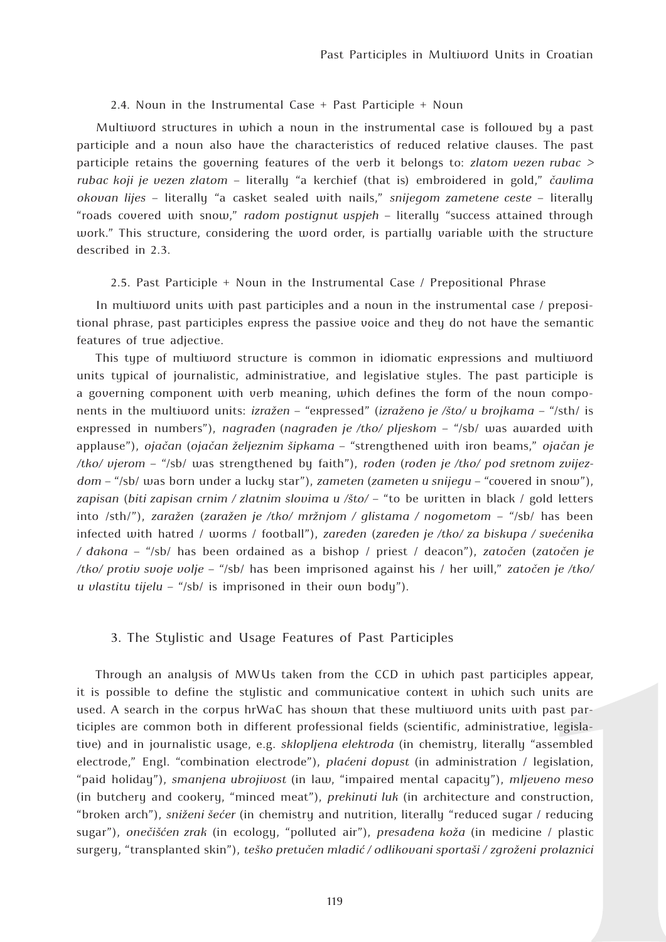#### 2.4. Noun in the Instrumental Case + Past Participle + Noun

Multiword structures in which a noun in the instrumental case is followed by a past participle and a noun also have the characteristics of reduced relative clauses. The past participle retains the governing features of the verb it belongs to: *zlatom vezen rubac > rubac koji je vezen zlatom* – literally "a kerchief (that is) embroidered in gold," *čavlima okovan lijes* – literally "a casket sealed with nails," *snijegom zametene ceste* – literally "roads covered with snow," *radom postignut uspjeh* – literally "success attained through work." This structure, considering the word order, is partially variable with the structure described in 2.3.

#### 2.5. Past Participle + Noun in the Instrumental Case / Prepositional Phrase

In multiword units with past participles and a noun in the instrumental case / prepositional phrase, past participles express the passive voice and they do not have the semantic features of true adjective.

This type of multiword structure is common in idiomatic expressions and multiword units typical of journalistic, administrative, and legislative styles. The past participle is a governing component with verb meaning, which defines the form of the noun components in the multiword units: *izražen* – "expressed" (*izraženo je /što/ u brojkama* – "/sth/ is expressed in numbers"), *nagrađen* (*nagrađen je /tko/ pljeskom* – "/sb/ was awarded with applause"), *ojačan* (*ojačan željeznim šipkama* – "strengthened with iron beams," *ojačan je /tko/ vjerom* – "/sb/ was strengthened by faith"), *rođen* (*rođen je /tko/ pod sretnom zvijezdom* – "/sb/ was born under a lucky star"), *zameten* (*zameten u snijegu* – "covered in snow"), *zapisan* (*biti zapisan crnim / zlatnim slovima u /što/* – "to be written in black / gold letters into /sth/"), *zaražen* (*zaražen je /tko/ mržnjom / glistama / nogometom* – "/sb/ has been infected with hatred / worms / football"), *zaređen* (*zaređen je /tko/ za biskupa / svećenika / đakona* – "/sb/ has been ordained as a bishop / priest / deacon"), *zatočen* (*zatočen je /tko/ protiv svoje volje* – "/sb/ has been imprisoned against his / her will," *zatočen je /tko/ u vlastitu tijelu* – "/sb/ is imprisoned in their own body").

## 3. The Stylistic and Usage Features of Past Participles

Through an analysis of MWUs taken from the CCD in which past participles appear, it is possible to define the stylistic and communicative context in which such units are used. A search in the corpus hrWaC has shown that these multiword units with past participles are common both in different professional fields (scientific, administrative, legislative) and in journalistic usage, e.g. *sklopljena elektroda* (in chemistry, literally "assembled electrode," Engl. "combination electrode"), *plaćeni dopust* (in administration / legislation, "paid holiday"), *smanjena ubrojivost* (in law, "impaired mental capacity"), *mljeveno meso* (in butchery and cookery, "minced meat"), *prekinuti luk* (in architecture and construction, "broken arch"), *sniženi šećer* (in chemistry and nutrition, literally "reduced sugar / reducing sugar"), *onečišćen zrak* (in ecology, "polluted air"), *presađena koža* (in medicine / plastic surgery, "transplanted skin"), *teško pretučen mladić / odlikovani sportaši / zgroženi prolaznici*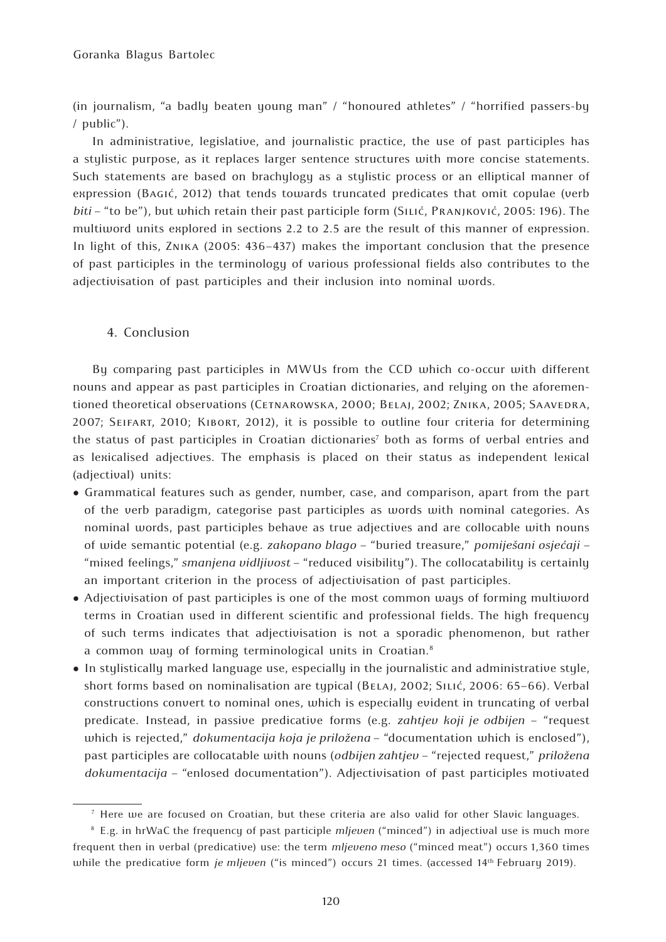(in journalism, "a badly beaten young man" / "honoured athletes" / "horrified passers-by / public").

In administrative, legislative, and journalistic practice, the use of past participles has a stylistic purpose, as it replaces larger sentence structures with more concise statements. Such statements are based on brachylogy as a stylistic process or an elliptical manner of expression (Bagić, 2012) that tends towards truncated predicates that omit copulae (verb *biti* – "to be"), but which retain their past participle form (Silić, Pranjković, 2005: 196). The multiword units explored in sections 2.2 to 2.5 are the result of this manner of expression. In light of this, Znika (2005: 436–437) makes the important conclusion that the presence of past participles in the terminology of various professional fields also contributes to the adjectivisation of past participles and their inclusion into nominal words.

## 4. Conclusion

By comparing past participles in MWUs from the CCD which co-occur with different nouns and appear as past participles in Croatian dictionaries, and relying on the aforementioned theoretical observations (CETNAROWSKA, 2000; BELAJ, 2002; ZNIKA, 2005; SAAVEDRA, 2007; Seifart, 2010; Kibort, 2012), it is possible to outline four criteria for determining the status of past participles in Croatian dictionaries<sup>7</sup> both as forms of verbal entries and as lexicalised adjectives. The emphasis is placed on their status as independent lexical (adjectival) units:

- Grammatical features such as gender, number, case, and comparison, apart from the part of the verb paradigm, categorise past participles as words with nominal categories. As nominal words, past participles behave as true adjectives and are collocable with nouns of wide semantic potential (e.g. *zakopano blago* – "buried treasure," *pomiješani osjećaji* – "mixed feelings," *smanjena vidljivost* – "reduced visibility"). The collocatability is certainly an important criterion in the process of adjectivisation of past participles.
- Adjectivisation of past participles is one of the most common ways of forming multiword terms in Croatian used in different scientific and professional fields. The high frequency of such terms indicates that adjectivisation is not a sporadic phenomenon, but rather a common way of forming terminological units in Croatian.<sup>8</sup>
- In stylistically marked language use, especially in the journalistic and administrative style, short forms based on nominalisation are typical (Belaj, 2002; Silić, 2006: 65–66). Verbal constructions convert to nominal ones, which is especially evident in truncating of verbal predicate. Instead, in passive predicative forms (e.g. *zahtjev koji je odbijen* – "request which is rejected," *dokumentacija koja je priložena* – "documentation which is enclosed"), past participles are collocatable with nouns (*odbijen zahtjev* – "rejected request," *priložena dokumentacija* – "enlosed documentation"). Adjectivisation of past participles motivated

<sup>7</sup> Here we are focused on Croatian, but these criteria are also valid for other Slavic languages.

<sup>8</sup> E.g. in hrWaC the frequency of past participle *mljeven* ("minced") in adjectival use is much more frequent then in verbal (predicative) use: the term *mljeveno meso* ("minced meat") occurs 1,360 times while the predicative form *je mljeven* ("is minced") occurs 21 times. (accessed 14th February 2019).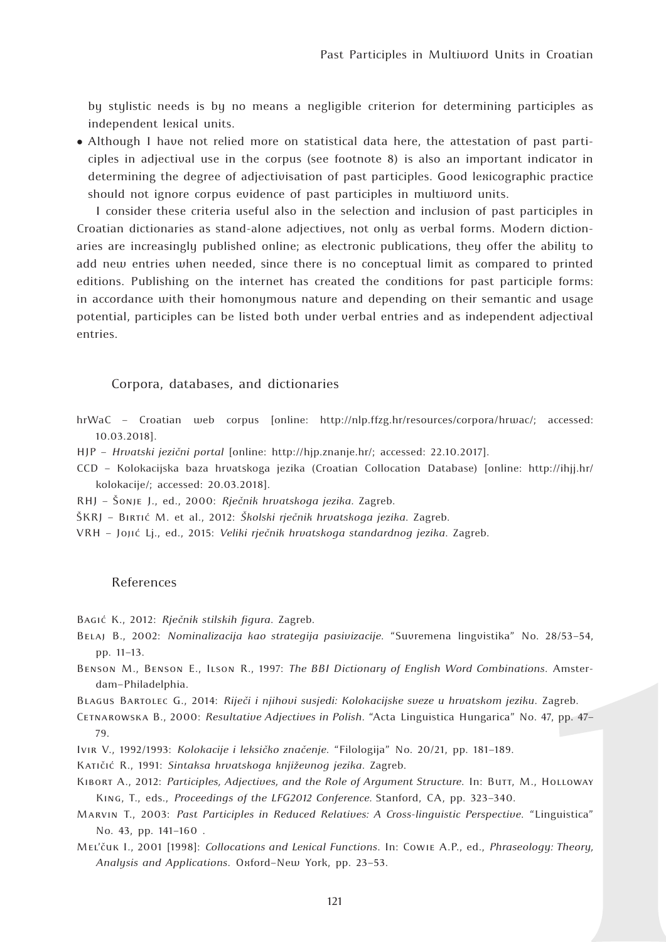by stylistic needs is by no means a negligible criterion for determining participles as independent lexical units.

● Although I have not relied more on statistical data here, the attestation of past participles in adjectival use in the corpus (see footnote 8) is also an important indicator in determining the degree of adjectivisation of past participles. Good lexicographic practice should not ignore corpus evidence of past participles in multiword units.

I consider these criteria useful also in the selection and inclusion of past participles in Croatian dictionaries as stand-alone adjectives, not only as verbal forms. Modern dictionaries are increasingly published online; as electronic publications, they offer the ability to add new entries when needed, since there is no conceptual limit as compared to printed editions. Publishing on the internet has created the conditions for past participle forms: in accordance with their homonymous nature and depending on their semantic and usage potential, participles can be listed both under verbal entries and as independent adjectival entries.

## Corpora, databases, and dictionaries

- hrWaC Croatian web corpus [online: http://nlp.ffzg.hr/resources/corpora/hrwac/; accessed: 10.03.2018].
- HJP *Hrvatski jezični portal* [online: http://hjp.znanje.hr/; accessed: 22.10.2017].
- CCD Kolokacijska baza hrvatskoga jezika (Croatian Collocation Database) [online: http://ihjj.hr/ kolokacije/; accessed: 20.03.2018].
- RHJ Šonje J., ed., 2000: *Rječnik hrvatskoga jezika.* Zagreb.
- ŠKRJ Birtić M. et al., 2012: *Školski rječnik hrvatskoga jezika*. Zagreb.
- VRH Jojić Lj., ed., 2015: *Veliki rječnik hrvatskoga standardnog jezika*. Zagreb.

### References

Bagić K., 2012: *Rječnik stilskih figura*. Zagreb.

- Belaj B., 2002: *Nominalizacija kao strategija pasivizacije*. "Suvremena lingvistika" No. 28/53–54, pp. 11–13.
- Benson M., Benson E., Ilson R., 1997: *The BBI Dictionary of English Word Combinations*. Amsterdam–Philadelphia.
- Blagus Bartolec G., 2014: *Riječi i njihovi susjedi: Kolokacijske sveze u hrvatskom jeziku*. Zagreb.
- Cetnarowska B., 2000: *Resultative Adjectives in Polish*. "Acta Linguistica Hungarica" No. 47, pp. 47– 79.
- Ivir V., 1992/1993: *Kolokacije i leksičko značenje*. "Filologija" No. 20/21, pp. 181–189.
- Katičić R., 1991: *Sintaksa hrvatskoga književnog jezika*. Zagreb.
- KIBORT A., 2012: Participles, Adjectives, and the Role of Argument Structure. In: Burr, M., HOLLOWAY King, T., eds., *Proceedings of the LFG2012 Conference.* Stanford, CA, pp. 323–340.
- Marvin T., 2003: *Past Participles in Reduced Relatives: A Cross-linguistic Perspective*. "Linguistica" No. 43, pp. 141–160 .
- Mel'čuk I., 2001 [1998]: *Collocations and Lexical Functions*. In: Cowie A.P., ed., *Phraseology: Theory, Analysis and Applications*. Oxford–New York, pp. 23–53.